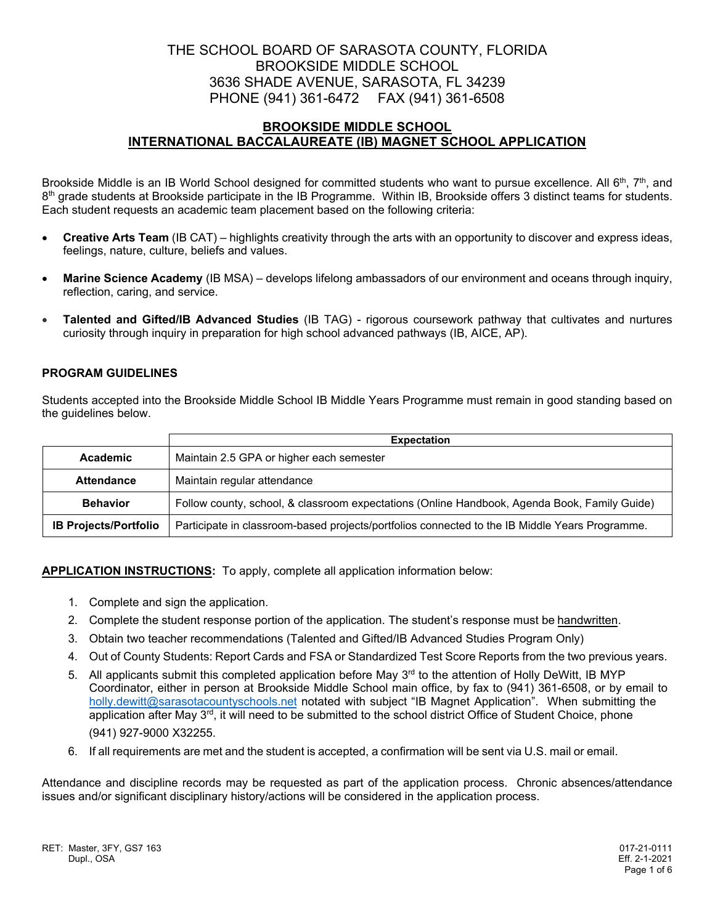# THE SCHOOL BOARD OF SARASOTA COUNTY, FLORIDA BROOKSIDE MIDDLE SCHOOL 3636 SHADE AVENUE, SARASOTA, FL 34239 PHONE (941) 361-6472 FAX (941) 361-6508

## **BROOKSIDE MIDDLE SCHOOL INTERNATIONAL BACCALAUREATE (IB) MAGNET SCHOOL APPLICATION**

Brookside Middle is an IB World School designed for committed students who want to pursue excellence. All 6<sup>th</sup>, 7<sup>th</sup>, and  $8<sup>th</sup>$  grade students at Brookside participate in the IB Programme. Within IB, Brookside offers 3 distinct teams for students. Each student requests an academic team placement based on the following criteria:

- **Creative Arts Team** (IB CAT) highlights creativity through the arts with an opportunity to discover and express ideas, feelings, nature, culture, beliefs and values.
- **Marine Science Academy** (IB MSA) develops lifelong ambassadors of our environment and oceans through inquiry, reflection, caring, and service.
- **Talented and Gifted/IB Advanced Studies** (IB TAG) rigorous coursework pathway that cultivates and nurtures curiosity through inquiry in preparation for high school advanced pathways (IB, AICE, AP).

### **PROGRAM GUIDELINES**

Students accepted into the Brookside Middle School IB Middle Years Programme must remain in good standing based on the guidelines below.

|                              | <b>Expectation</b>                                                                             |  |  |
|------------------------------|------------------------------------------------------------------------------------------------|--|--|
| Academic                     | Maintain 2.5 GPA or higher each semester                                                       |  |  |
| <b>Attendance</b>            | Maintain regular attendance                                                                    |  |  |
| <b>Behavior</b>              | Follow county, school, & classroom expectations (Online Handbook, Agenda Book, Family Guide)   |  |  |
| <b>IB Projects/Portfolio</b> | Participate in classroom-based projects/portfolios connected to the IB Middle Years Programme. |  |  |

**APPLICATION INSTRUCTIONS:** To apply, complete all application information below:

- 1. Complete and sign the application.
- 2. Complete the student response portion of the application. The student's response must be handwritten.
- 3. Obtain two teacher recommendations (Talented and Gifted/IB Advanced Studies Program Only)
- 4. Out of County Students: Report Cards and FSA or Standardized Test Score Reports from the two previous years.
- 5. All applicants submit this completed application before May 3<sup>rd</sup> to the attention of Holly DeWitt, IB MYP Coordinator, either in person at Brookside Middle School main office, by fax to (941) 361-6508, or by email to holly.dewitt@sarasotacountyschools.net notated with subject "IB Magnet Application". When submitting the application after May 3<sup>rd</sup>, it will need to be submitted to the school district Office of Student Choice, phone (941) 927-9000 X32255.
- 6. If all requirements are met and the student is accepted, a confirmation will be sent via U.S. mail or email.

Attendance and discipline records may be requested as part of the application process. Chronic absences/attendance issues and/or significant disciplinary history/actions will be considered in the application process.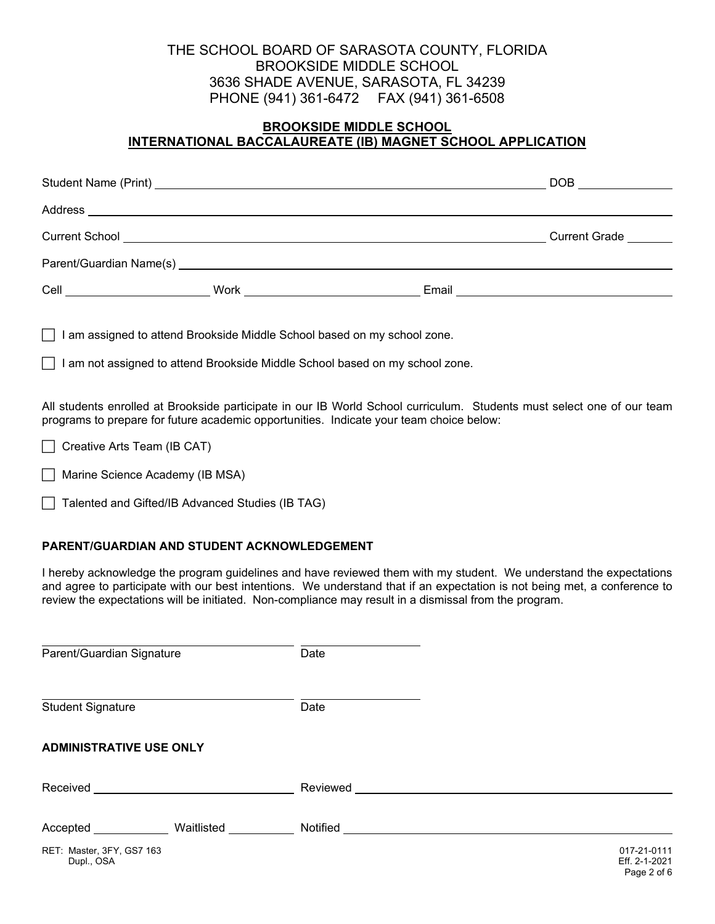# THE SCHOOL BOARD OF SARASOTA COUNTY, FLORIDA BROOKSIDE MIDDLE SCHOOL 3636 SHADE AVENUE, SARASOTA, FL 34239 PHONE (941) 361-6472 FAX (941) 361-6508

# **BROOKSIDE MIDDLE SCHOOL INTERNATIONAL BACCALAUREATE (IB) MAGNET SCHOOL APPLICATION**

|                                                               |  |                                                                                                                       | DOB                  |
|---------------------------------------------------------------|--|-----------------------------------------------------------------------------------------------------------------------|----------------------|
|                                                               |  |                                                                                                                       |                      |
|                                                               |  |                                                                                                                       | <b>Current Grade</b> |
|                                                               |  |                                                                                                                       |                      |
| Cell<br><u> 1990 - Jan Stein Berlin, amerikansk politiker</u> |  | Email <b>Exercise Service Service Service Service</b> Service Service Service Service Service Service Service Service |                      |

 $\Box$  I am assigned to attend Brookside Middle School based on my school zone.

 $\Box$  I am not assigned to attend Brookside Middle School based on my school zone.

All students enrolled at Brookside participate in our IB World School curriculum. Students must select one of our team programs to prepare for future academic opportunities. Indicate your team choice below:

 $\Box$  Creative Arts Team (IB CAT)

Marine Science Academy (IB MSA)

Talented and Gifted/IB Advanced Studies (IB TAG)

### **PARENT/GUARDIAN AND STUDENT ACKNOWLEDGEMENT**

I hereby acknowledge the program guidelines and have reviewed them with my student. We understand the expectations and agree to participate with our best intentions. We understand that if an expectation is not being met, a conference to review the expectations will be initiated. Non-compliance may result in a dismissal from the program.

| Parent/Guardian Signature               |            | Date     |                                             |
|-----------------------------------------|------------|----------|---------------------------------------------|
| <b>Student Signature</b>                |            | Date     |                                             |
| <b>ADMINISTRATIVE USE ONLY</b>          |            |          |                                             |
| Received                                |            | Reviewed |                                             |
| Accepted                                | Waitlisted | Notified |                                             |
| RET: Master, 3FY, GS7 163<br>Dupl., OSA |            |          | 017-21-0111<br>Eff. 2-1-2021<br>Page 2 of 6 |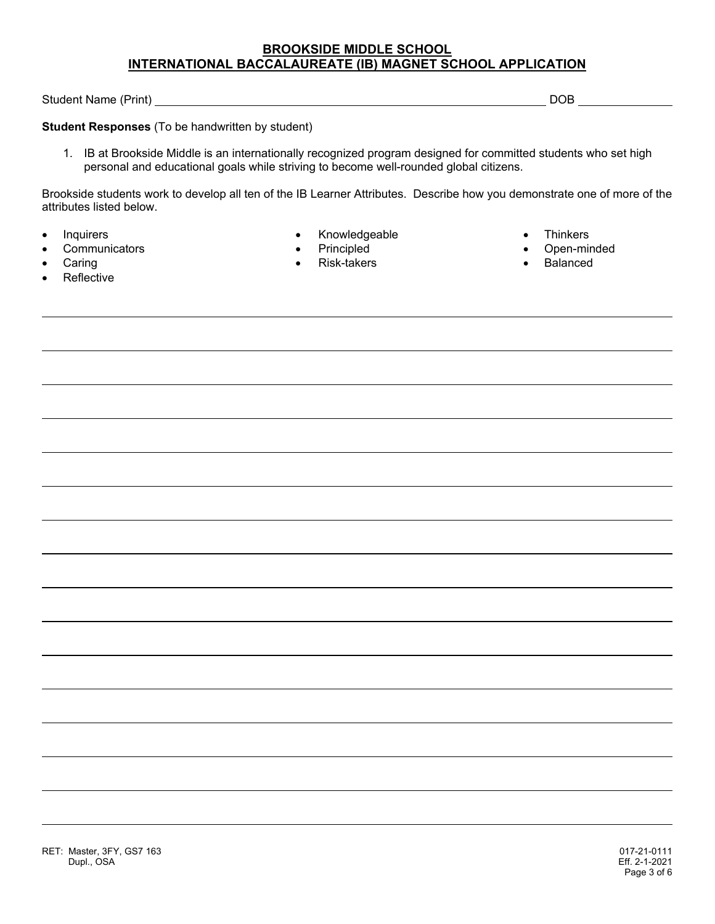Student Name (Print) DOB

**Student Responses** (To be handwritten by student)

1. IB at Brookside Middle is an internationally recognized program designed for committed students who set high personal and educational goals while striving to become well-rounded global citizens.

Brookside students work to develop all ten of the IB Learner Attributes. Describe how you demonstrate one of more of the attributes listed below.

- 
- 
- 
- Reflective
- Inquirers **Exercise Contract Contract Contract Contract Contract Contract Contract Contract Contract Contract Contract Contract Contract Contract Contract Contract Contract Contract Contract Contract Contract Contract Co** 
	-
	- Caring **Caring Caring Caring Caring Caring Caring Caring Caring Caring Caring Caring Caring Caring Caring Caring Caring Caring Caring Caring Caring Caring Caring Caring Caring Caring Caring Caring Caring Caring Caring Cari**
- - Communicators **Communicators Communicators Principled Communicators Communicators Communicators Communicators COM** 
		-

RET: Master, 3FY, GS7 163 017-21-0111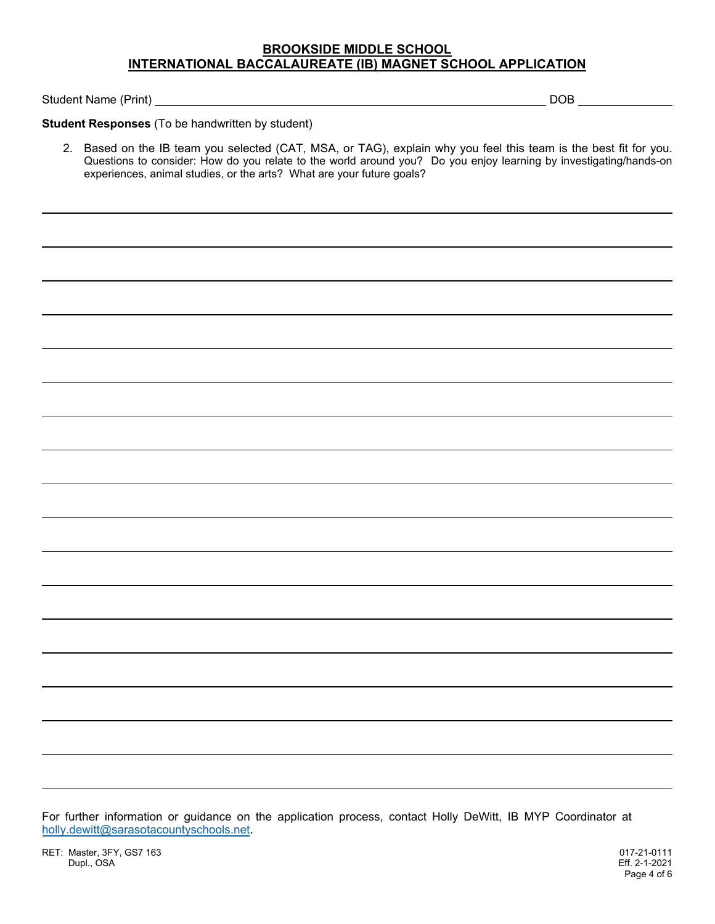Student Name (Print) DOB

**Student Responses** (To be handwritten by student)

2. Based on the IB team you selected (CAT, MSA, or TAG), explain why you feel this team is the best fit for you. Questions to consider: How do you relate to the world around you? Do you enjoy learning by investigating/hands-on experiences, animal studies, or the arts? What are your future goals?

For further information or guidance on the application process, contact Holly DeWitt, IB MYP Coordinator at holly.dewitt@sarasotacountyschools.net.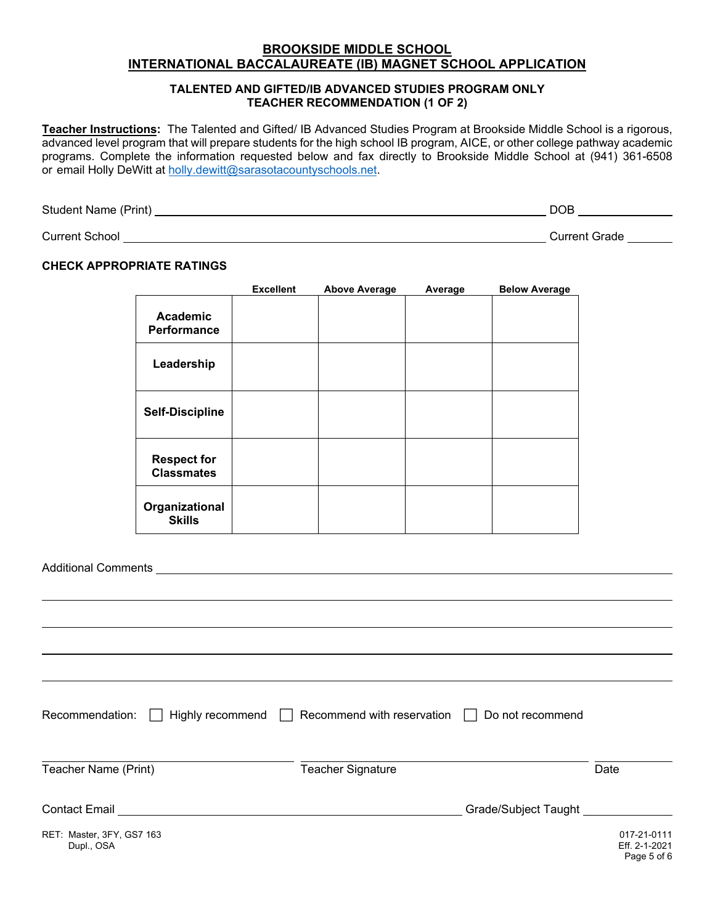#### **TALENTED AND GIFTED/IB ADVANCED STUDIES PROGRAM ONLY TEACHER RECOMMENDATION (1 OF 2)**

**Teacher Instructions:** The Talented and Gifted/ IB Advanced Studies Program at Brookside Middle School is a rigorous, advanced level program that will prepare students for the high school IB program, AICE, or other college pathway academic programs. Complete the information requested below and fax directly to Brookside Middle School at (941) 361-6508 or email Holly DeWitt at holly.dewitt@sarasotacountyschools.net.

Student Name (Print) DOB

Current School Current Grade

### **CHECK APPROPRIATE RATINGS**

|                                         | <b>Excellent</b> | <b>Above Average</b> | Average | <b>Below Average</b> |
|-----------------------------------------|------------------|----------------------|---------|----------------------|
| <b>Academic</b><br><b>Performance</b>   |                  |                      |         |                      |
| Leadership                              |                  |                      |         |                      |
| <b>Self-Discipline</b>                  |                  |                      |         |                      |
| <b>Respect for</b><br><b>Classmates</b> |                  |                      |         |                      |
| Organizational<br><b>Skills</b>         |                  |                      |         |                      |

Additional Comments

| Recommendation:<br>Highly recommend $\Box$                                                                    | Recommend with reservation | Do not recommend     |                                             |
|---------------------------------------------------------------------------------------------------------------|----------------------------|----------------------|---------------------------------------------|
| Teacher Name (Print)                                                                                          | <b>Teacher Signature</b>   |                      | Date                                        |
| Contact Email entry and the contact Email entry and the contact Email entry and the contact of the contact of |                            | Grade/Subject Taught |                                             |
| RET: Master, 3FY, GS7 163<br>Dupl., OSA                                                                       |                            |                      | 017-21-0111<br>Eff. 2-1-2021<br>Page 5 of 6 |